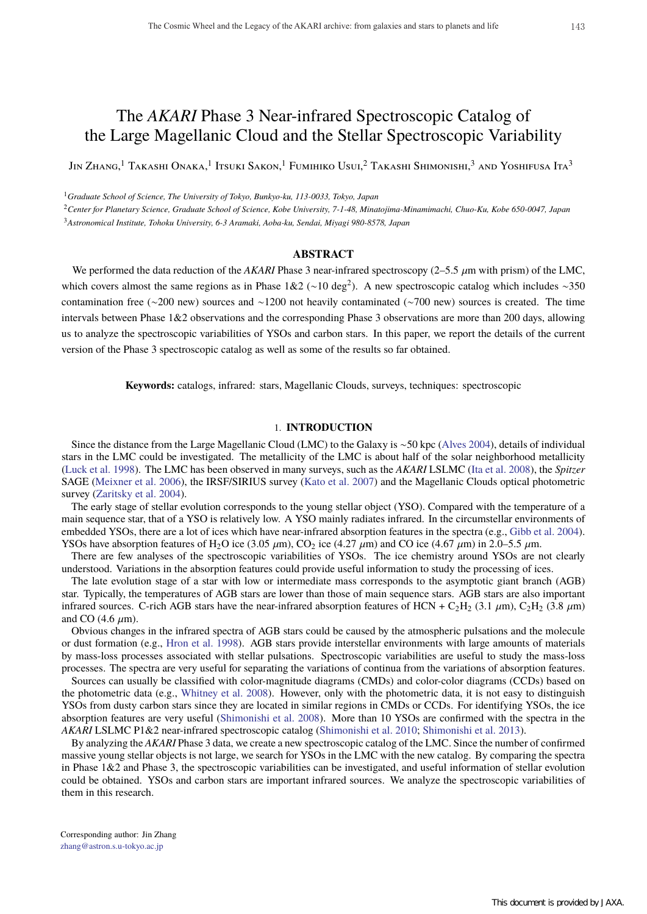# The *AKARI* Phase 3 Near-infrared Spectroscopic Catalog of the Large Magellanic Cloud and the Stellar Spectroscopic Variability

Jin Zhang,<sup>1</sup> Takashi Onaka,<sup>1</sup> Itsuki Sakon,<sup>1</sup> Fumihiko Usui,<sup>2</sup> Takashi Shimonishi,<sup>3</sup> and Yoshifusa Ita<sup>3</sup>

<sup>1</sup>*Graduate School of Science, The University of Tokyo, Bunkyo-ku, 113-0033, Tokyo, Japan*

<sup>2</sup>*Center for Planetary Science, Graduate School of Science, Kobe University, 7-1-48, Minatojima-Minamimachi, Chuo-Ku, Kobe 650-0047, Japan* <sup>3</sup>*Astronomical Institute, Tohoku University, 6-3 Aramaki, Aoba-ku, Sendai, Miyagi 980-8578, Japan*

# **ABSTRACT**

We performed the data reduction of the *AKARI* Phase 3 near-infrared spectroscopy ( $2-5.5 \mu$ m with prism) of the LMC, which covers almost the same regions as in Phase  $1&2$  (∼10 deg<sup>2</sup>). A new spectroscopic catalog which includes ∼350 contamination free (∼200 new) sources and ∼1200 not heavily contaminated (∼700 new) sources is created. The time intervals between Phase 1&2 observations and the corresponding Phase 3 observations are more than 200 days, allowing us to analyze the spectroscopic variabilities of YSOs and carbon stars. In this paper, we report the details of the current version of the Phase 3 spectroscopic catalog as well as some of the results so far obtained.

**Keywords:** catalogs, infrared: stars, Magellanic Clouds, surveys, techniques: spectroscopic

# 1. **INTRODUCTION**

Since the distance from the Large Magellanic Cloud (LMC) to the Galaxy is ∼50 kpc (Alves 2004), details of individual stars in the LMC could be investigated. The metallicity of the LMC is about half of the solar neighborhood metallicity (Luck et al. 1998). The LMC has been observed in many surveys, such as the *AKARI* LSLMC (Ita et al. 2008), the *Spitzer* SAGE (Meixner et al. 2006), the IRSF/SIRIUS survey (Kato et al. 2007) and the Magellanic Clouds optical photometric survey (Zaritsky et al. 2004).

The early stage of stellar evolution corresponds to the young stellar object (YSO). Compared with the temperature of a main sequence star, that of a YSO is relatively low. A YSO mainly radiates infrared. In the circumstellar environments of embedded YSOs, there are a lot of ices which have near-infrared absorption features in the spectra (e.g., Gibb et al. 2004). YSOs have absorption features of H<sub>2</sub>O ice (3.05  $\mu$ m), CO<sub>2</sub> ice (4.27  $\mu$ m) and CO ice (4.67  $\mu$ m) in 2.0–5.5  $\mu$ m.

There are few analyses of the spectroscopic variabilities of YSOs. The ice chemistry around YSOs are not clearly understood. Variations in the absorption features could provide useful information to study the processing of ices.

The late evolution stage of a star with low or intermediate mass corresponds to the asymptotic giant branch (AGB) star. Typically, the temperatures of AGB stars are lower than those of main sequence stars. AGB stars are also important infrared sources. C-rich AGB stars have the near-infrared absorption features of HCN + C<sub>2</sub>H<sub>2</sub> (3.1  $\mu$ m), C<sub>2</sub>H<sub>2</sub> (3.8  $\mu$ m) and CO  $(4.6 \text{ }\mu\text{m})$ .

Obvious changes in the infrared spectra of AGB stars could be caused by the atmospheric pulsations and the molecule or dust formation (e.g., Hron et al. 1998). AGB stars provide interstellar environments with large amounts of materials by mass-loss processes associated with stellar pulsations. Spectroscopic variabilities are useful to study the mass-loss processes. The spectra are very useful for separating the variations of continua from the variations of absorption features.

Sources can usually be classified with color-magnitude diagrams (CMDs) and color-color diagrams (CCDs) based on the photometric data (e.g., Whitney et al. 2008). However, only with the photometric data, it is not easy to distinguish YSOs from dusty carbon stars since they are located in similar regions in CMDs or CCDs. For identifying YSOs, the ice absorption features are very useful (Shimonishi et al. 2008). More than 10 YSOs are confirmed with the spectra in the *AKARI* LSLMC P1&2 near-infrared spectroscopic catalog (Shimonishi et al. 2010; Shimonishi et al. 2013).

By analyzing the *AKARI* Phase 3 data, we create a new spectroscopic catalog of the LMC. Since the number of confirmed massive young stellar objects is not large, we search for YSOs in the LMC with the new catalog. By comparing the spectra in Phase 1&2 and Phase 3, the spectroscopic variabilities can be investigated, and useful information of stellar evolution could be obtained. YSOs and carbon stars are important infrared sources. We analyze the spectroscopic variabilities of them in this research.

Corresponding author: Jin Zhang zhang@astron.s.u-tokyo.ac.jp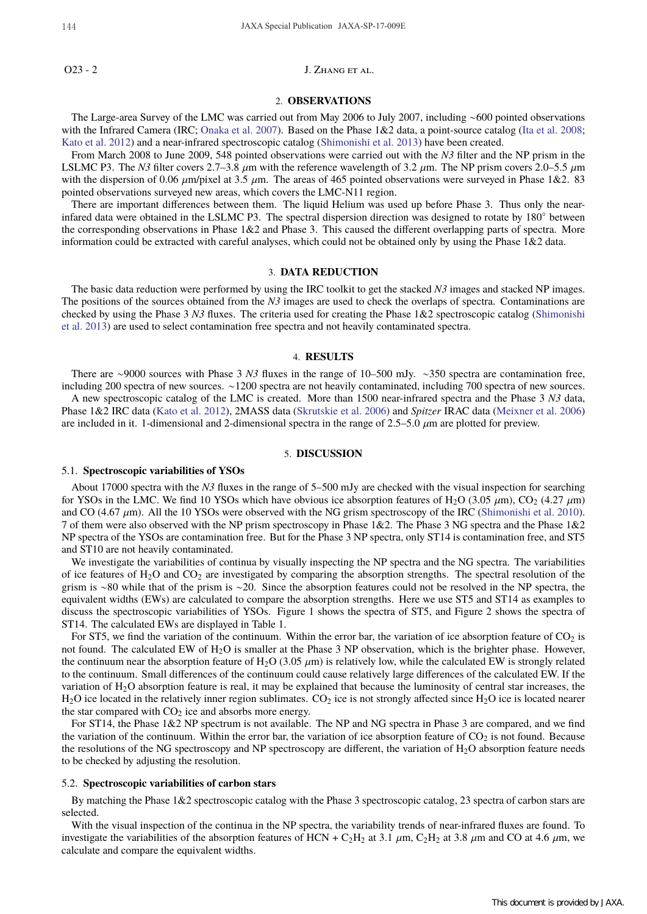144 JAXA Special Publication JAXA-SP-17-009E

O23 - 2 J. ZHANG ET AL.

### 2. **OBSERVATIONS**

The Large-area Survey of the LMC was carried out from May 2006 to July 2007, including ∼600 pointed observations with the Infrared Camera (IRC; Onaka et al. 2007). Based on the Phase 1&2 data, a point-source catalog (Ita et al. 2008; Kato et al. 2012) and a near-infrared spectroscopic catalog (Shimonishi et al. 2013) have been created.

From March 2008 to June 2009, 548 pointed observations were carried out with the *N3* filter and the NP prism in the LSLMC P3. The *N3* filter covers 2.7–3.8  $\mu$ m with the reference wavelength of 3.2  $\mu$ m. The NP prism covers 2.0–5.5  $\mu$ m with the dispersion of 0.06  $\mu$ m/pixel at 3.5  $\mu$ m. The areas of 465 pointed observations were surveyed in Phase 1&2. 83 pointed observations surveyed new areas, which covers the LMC-N11 region.

There are important differences between them. The liquid Helium was used up before Phase 3. Thus only the nearinfared data were obtained in the LSLMC P3. The spectral dispersion direction was designed to rotate by 180◦ between the corresponding observations in Phase 1&2 and Phase 3. This caused the different overlapping parts of spectra. More information could be extracted with careful analyses, which could not be obtained only by using the Phase 1&2 data.

# 3. **DATA REDUCTION**

The basic data reduction were performed by using the IRC toolkit to get the stacked *N3* images and stacked NP images. The positions of the sources obtained from the *N3* images are used to check the overlaps of spectra. Contaminations are checked by using the Phase 3 *N3* fluxes. The criteria used for creating the Phase 1&2 spectroscopic catalog (Shimonishi et al. 2013) are used to select contamination free spectra and not heavily contaminated spectra.

#### 4. **RESULTS**

There are ∼9000 sources with Phase 3 *N3* fluxes in the range of 10–500 mJy. ∼350 spectra are contamination free, including 200 spectra of new sources. ∼1200 spectra are not heavily contaminated, including 700 spectra of new sources. A new spectroscopic catalog of the LMC is created. More than 1500 near-infrared spectra and the Phase 3 *N3* data, Phase 1&2 IRC data (Kato et al. 2012), 2MASS data (Skrutskie et al. 2006) and *Spitzer* IRAC data (Meixner et al. 2006) are included in it. 1-dimensional and 2-dimensional spectra in the range of  $2.5-5.0 \mu m$  are plotted for preview.

#### 5. **DISCUSSION**

#### 5.1. **Spectroscopic variabilities of YSOs**

About 17000 spectra with the *N3* fluxes in the range of 5–500 mJy are checked with the visual inspection for searching for YSOs in the LMC. We find 10 YSOs which have obvious ice absorption features of H<sub>2</sub>O (3.05  $\mu$ m), CO<sub>2</sub> (4.27  $\mu$ m) and CO (4.67  $\mu$ m). All the 10 YSOs were observed with the NG grism spectroscopy of the IRC (Shimonishi et al. 2010). 7 of them were also observed with the NP prism spectroscopy in Phase 1&2. The Phase 3 NG spectra and the Phase 1&2 NP spectra of the YSOs are contamination free. But for the Phase 3 NP spectra, only ST14 is contamination free, and ST5 and ST10 are not heavily contaminated.

We investigate the variabilities of continua by visually inspecting the NP spectra and the NG spectra. The variabilities of ice features of  $H_2O$  and  $CO_2$  are investigated by comparing the absorption strengths. The spectral resolution of the grism is ∼80 while that of the prism is ∼20. Since the absorption features could not be resolved in the NP spectra, the equivalent widths (EWs) are calculated to compare the absorption strengths. Here we use ST5 and ST14 as examples to discuss the spectroscopic variabilities of YSOs. Figure 1 shows the spectra of ST5, and Figure 2 shows the spectra of ST14. The calculated EWs are displayed in Table 1.

For ST5, we find the variation of the continuum. Within the error bar, the variation of ice absorption feature of  $CO<sub>2</sub>$  is not found. The calculated EW of H<sub>2</sub>O is smaller at the Phase 3 NP observation, which is the brighter phase. However, the continuum near the absorption feature of H<sub>2</sub>O (3.05  $\mu$ m) is relatively low, while the calculated EW is strongly related to the continuum. Small differences of the continuum could cause relatively large differences of the calculated EW. If the variation of  $H_2O$  absorption feature is real, it may be explained that because the luminosity of central star increases, the  $H_2O$  ice located in the relatively inner region sublimates.  $CO_2$  ice is not strongly affected since  $H_2O$  ice is located nearer the star compared with  $CO<sub>2</sub>$  ice and absorbs more energy.

For ST14, the Phase 1&2 NP spectrum is not available. The NP and NG spectra in Phase 3 are compared, and we find the variation of the continuum. Within the error bar, the variation of ice absorption feature of  $CO<sub>2</sub>$  is not found. Because the resolutions of the NG spectroscopy and NP spectroscopy are different, the variation of  $H_2O$  absorption feature needs to be checked by adjusting the resolution.

#### 5.2. **Spectroscopic variabilities of carbon stars**

By matching the Phase 1&2 spectroscopic catalog with the Phase 3 spectroscopic catalog, 23 spectra of carbon stars are selected.

With the visual inspection of the continua in the NP spectra, the variability trends of near-infrared fluxes are found. To investigate the variabilities of the absorption features of HCN + C<sub>2</sub>H<sub>2</sub> at 3.1  $\mu$ m, C<sub>2</sub>H<sub>2</sub> at 3.8  $\mu$ m and CO at 4.6  $\mu$ m, we calculate and compare the equivalent widths.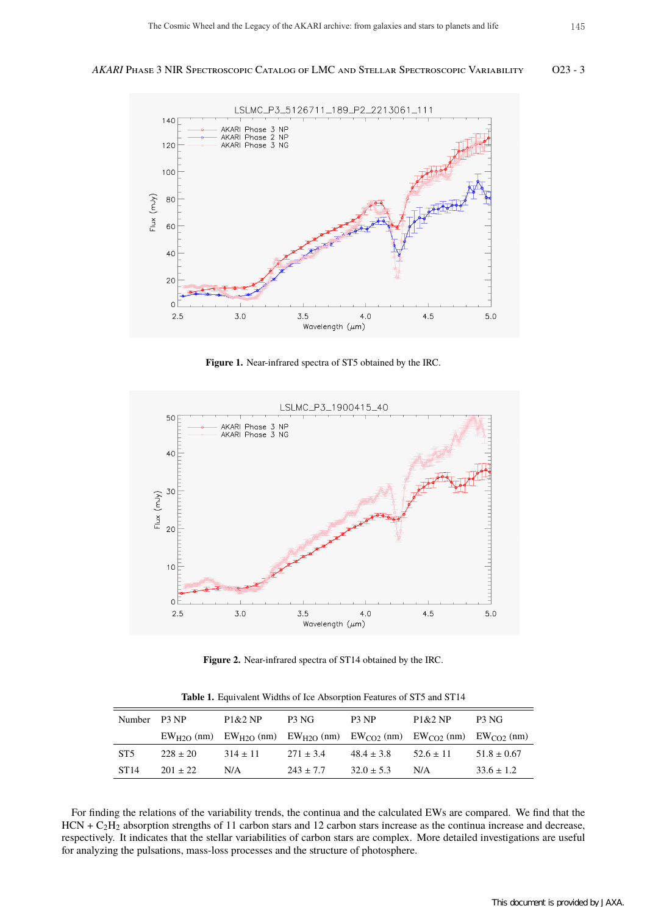

**Figure 1.** Near-infrared spectra of ST5 obtained by the IRC.



**Figure 2.** Near-infrared spectra of ST14 obtained by the IRC.

**Table 1.** Equivalent Widths of Ice Absorption Features of ST5 and ST14

| Number P3 NP     |              | P1&2NP                                                                                          | P3 NG         | P3 NP          | P1&2NP        | P3 NG           |
|------------------|--------------|-------------------------------------------------------------------------------------------------|---------------|----------------|---------------|-----------------|
|                  |              | $EW_{H2O}$ (nm) $EW_{H2O}$ (nm) $EW_{H2O}$ (nm) $EW_{CO2}$ (nm) $EW_{CO2}$ (nm) $EW_{CO2}$ (nm) |               |                |               |                 |
| ST <sub>5</sub>  | $228 \pm 20$ | $314 \pm 11$                                                                                    | $271 \pm 3.4$ | $48.4 \pm 3.8$ | $52.6 \pm 11$ | $51.8 \pm 0.67$ |
| ST <sub>14</sub> | $201 + 22$   | N/A                                                                                             | $243 \pm 7.7$ | $32.0 \pm 5.3$ | N/A           | $33.6 \pm 1.2$  |

For finding the relations of the variability trends, the continua and the calculated EWs are compared. We find that the  $HCN + C<sub>2</sub>H<sub>2</sub>$  absorption strengths of 11 carbon stars and 12 carbon stars increase as the continua increase and decrease, respectively. It indicates that the stellar variabilities of carbon stars are complex. More detailed investigations are useful for analyzing the pulsations, mass-loss processes and the structure of photosphere.